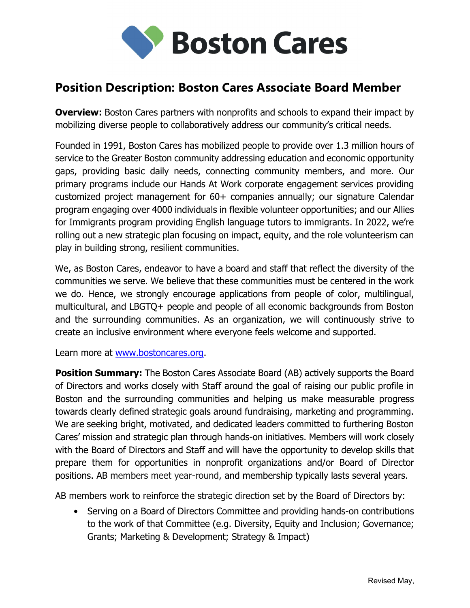

## Position Description: Boston Cares Associate Board Member

**Overview:** Boston Cares partners with nonprofits and schools to expand their impact by mobilizing diverse people to collaboratively address our community's critical needs.

Founded in 1991, Boston Cares has mobilized people to provide over 1.3 million hours of service to the Greater Boston community addressing education and economic opportunity gaps, providing basic daily needs, connecting community members, and more. Our primary programs include our Hands At Work corporate engagement services providing customized project management for 60+ companies annually; our signature Calendar program engaging over 4000 individuals in flexible volunteer opportunities; and our Allies for Immigrants program providing English language tutors to immigrants. In 2022, we're rolling out a new strategic plan focusing on impact, equity, and the role volunteerism can play in building strong, resilient communities.

We, as Boston Cares, endeavor to have a board and staff that reflect the diversity of the communities we serve. We believe that these communities must be centered in the work we do. Hence, we strongly encourage applications from people of color, multilingual, multicultural, and LBGTQ+ people and people of all economic backgrounds from Boston and the surrounding communities. As an organization, we will continuously strive to create an inclusive environment where everyone feels welcome and supported.

Learn more at www.bostoncares.org.

**Position Summary:** The Boston Cares Associate Board (AB) actively supports the Board of Directors and works closely with Staff around the goal of raising our public profile in Boston and the surrounding communities and helping us make measurable progress towards clearly defined strategic goals around fundraising, marketing and programming. We are seeking bright, motivated, and dedicated leaders committed to furthering Boston Cares' mission and strategic plan through hands-on initiatives. Members will work closely with the Board of Directors and Staff and will have the opportunity to develop skills that prepare them for opportunities in nonprofit organizations and/or Board of Director positions. AB members meet year-round, and membership typically lasts several years.

AB members work to reinforce the strategic direction set by the Board of Directors by:

• Serving on a Board of Directors Committee and providing hands-on contributions to the work of that Committee (e.g. Diversity, Equity and Inclusion; Governance; Grants; Marketing & Development; Strategy & Impact)